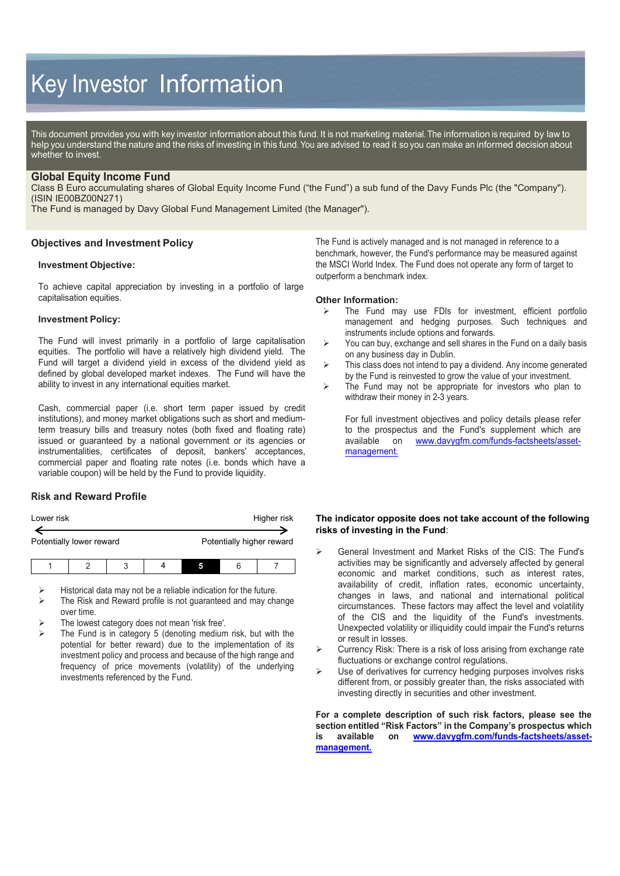# Key Investor Information

This document provides you with key investor information about this fund. It is not marketing material. The information is required by law to help you understand the nature and the risks of investing in this fund. You are advised to read it so you can make an informed decision about whether to invest.

## **Global Equity Income Fund**

Class B Euro accumulating shares of Global Equity Income Fund ("the Fund") a sub fund of the Davy Funds Plc (the "Company"). (ISIN IE00BZ00N271)

The Fund is managed by Davy Global Fund Management Limited (the Manager").

## **Objectives and Investment Policy**

#### **Investment Objective:**

To achieve capital appreciation by investing in a portfolio of large capitalisation equities.

#### **Investment Policy:**

The Fund will invest primarily in a portfolio of large capitalisation equities. The portfolio will have a relatively high dividend yield. The Fund will target a dividend yield in excess of the dividend yield as defined by global developed market indexes. The Fund will have the ability to invest in any international equities market.

Cash, commercial paper (i.e. short term paper issued by credit institutions), and money market obligations such as short and mediumterm treasury bills and treasury notes (both fixed and floating rate) issued or guaranteed by a national government or its agencies or instrumentalities, certificates of deposit, bankers' acceptances, commercial paper and floating rate notes (i.e. bonds which have a variable coupon) will be held by the Fund to provide liquidity.

# **Risk and Reward Profile**

| Lower risk               |  |   |  |                           |   | Higher risk |
|--------------------------|--|---|--|---------------------------|---|-------------|
| Potentially lower reward |  |   |  | Potentially higher reward |   |             |
|                          |  | ↷ |  |                           | 6 |             |

Historical data may not be a reliable indication for the future.

- The Risk and Reward profile is not guaranteed and may change over time.
- The lowest category does not mean 'risk free'.
- The Fund is in category 5 (denoting medium risk, but with the potential for better reward) due to the implementation of its investment policy and process and because of the high range and frequency of price movements (volatility) of the underlying investments referenced by the Fund.

The Fund is actively managed and is not managed in reference to a benchmark, however, the Fund's performance may be measured against the MSCI World Index. The Fund does not operate any form of target to outperform a benchmark index.

#### **Other Information:**

- The Fund may use FDIs for investment, efficient portfolio management and hedging purposes. Such techniques and instruments include options and forwards.
- $\triangleright$  You can buy, exchange and sell shares in the Fund on a daily basis on any business day in Dublin.
- $\triangleright$  This class does not intend to pay a dividend. Any income generated by the Fund is reinvested to grow the value of your investment.
- $\triangleright$  The Fund may not be appropriate for investors who plan to withdraw their money in 2-3 years.

For full investment objectives and policy details please refer to the prospectus and the Fund's supplement which are available on www.dayvorfm.com/funds-factsheets/assetwww.davyqfm.com/funds-factsheets/asset[management.](http://www.davygfm.com/funds-factsheets/asset-management)

## **The indicator opposite does not take account of the following risks of investing in the Fund**:

- General Investment and Market Risks of the CIS: The Fund's activities may be significantly and adversely affected by general economic and market conditions, such as interest rates, availability of credit, inflation rates, economic uncertainty, changes in laws, and national and international political circumstances. These factors may affect the level and volatility of the CIS and the liquidity of the Fund's investments. Unexpected volatility or illiquidity could impair the Fund's returns or result in losses.
- Currency Risk: There is a risk of loss arising from exchange rate fluctuations or exchange control regulations.
- Use of derivatives for currency hedging purposes involves risks different from, or possibly greater than, the risks associated with investing directly in securities and other investment.

**For a complete description of such risk factors, please see the section entitled "Risk Factors" in the Company's prospectus which**  on [www.davygfm.com/funds-factsheets/asset](http://www.davygfm.com/funds-factsheets/asset-management)**[management.](http://www.davygfm.com/funds-factsheets/asset-management)**